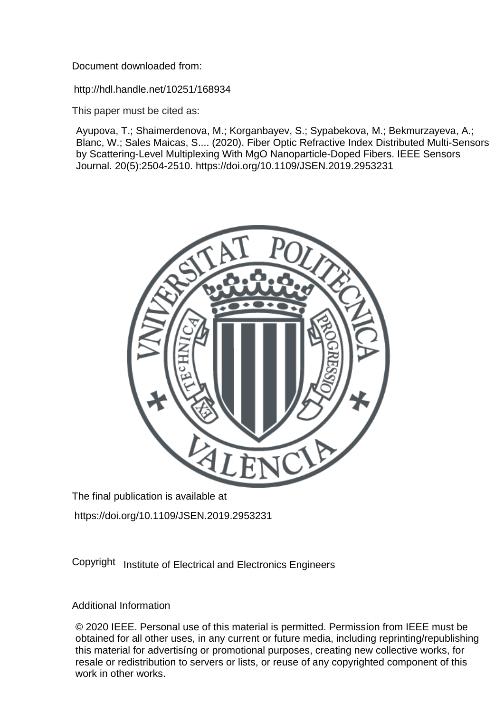Document downloaded from:

http://hdl.handle.net/10251/168934

This paper must be cited as:

Ayupova, T.; Shaimerdenova, M.; Korganbayev, S.; Sypabekova, M.; Bekmurzayeva, A.; Blanc, W.; Sales Maicas, S.... (2020). Fiber Optic Refractive Index Distributed Multi-Sensors by Scattering-Level Multiplexing With MgO Nanoparticle-Doped Fibers. IEEE Sensors Journal. 20(5):2504-2510. https://doi.org/10.1109/JSEN.2019.2953231



The final publication is available at

https://doi.org/10.1109/JSEN.2019.2953231

Copyright Institute of Electrical and Electronics Engineers

# Additional Information

© 2020 IEEE. Personal use of this material is permitted. Permissíon from IEEE must be obtained for all other uses, in any current or future media, including reprinting/republishing this material for advertisíng or promotional purposes, creating new collective works, for resale or redistribution to servers or lists, or reuse of any copyrighted component of this work in other works.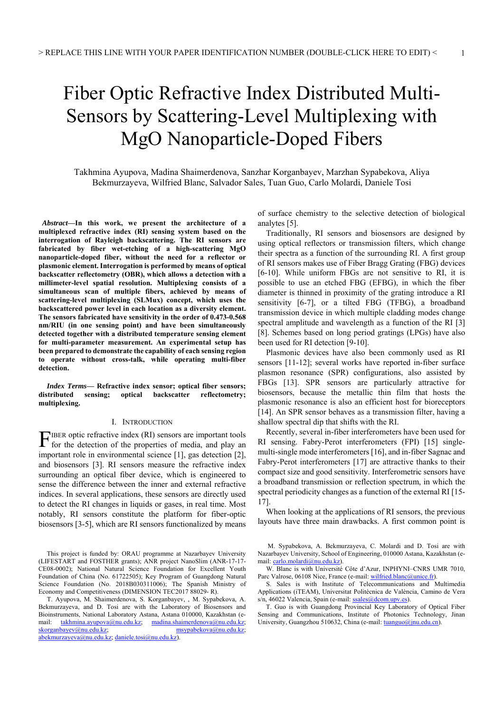# Fiber Optic Refractive Index Distributed Multi-Sensors by Scattering-Level Multiplexing with MgO Nanoparticle-Doped Fibers

Takhmina Ayupova, Madina Shaimerdenova, Sanzhar Korganbayev, Marzhan Sypabekova, Aliya Bekmurzayeva, Wilfried Blanc, Salvador Sales, Tuan Guo, Carlo Molardi, Daniele Tosi

 *Abstract***—In this work, we present the architecture of a multiplexed refractive index (RI) sensing system based on the interrogation of Rayleigh backscattering. The RI sensors are fabricated by fiber wet-etching of a high-scattering MgO nanoparticle-doped fiber, without the need for a reflector or plasmonic element. Interrogation is performed by means of optical backscatter reflectometry (OBR), which allows a detection with a millimeter-level spatial resolution. Multiplexing consists of a simultaneous scan of multiple fibers, achieved by means of scattering-level multiplexing (SLMux) concept, which uses the backscattered power level in each location as a diversity element. The sensors fabricated have sensitivity in the order of 0.473-0.568 nm/RIU (in one sensing point) and have been simultaneously detected together with a distributed temperature sensing element for multi-parameter measurement. An experimental setup has been prepared to demonstrate the capability of each sensing region to operate without cross-talk, while operating multi-fiber detection.** 

*Index Terms***— Refractive index sensor; optical fiber sensors; distributed sensing; optical backscatter reflectometry; multiplexing.**

#### I. INTRODUCTION

 $\Gamma$ IBER optic refractive index (RI) sensors are important tools for the detection of the properties of media, and play an for the detection of the properties of media, and play an important role in environmental science [1], gas detection [2], and biosensors [3]. RI sensors measure the refractive index surrounding an optical fiber device, which is engineered to sense the difference between the inner and external refractive indices. In several applications, these sensors are directly used to detect the RI changes in liquids or gases, in real time. Most notably, RI sensors constitute the platform for fiber-optic biosensors [3-5], which are RI sensors functionalized by means

T. Ayupova, M. Shaimerdenova, S. Korganbayev, , M. Sypabekova, A. Bekmurzayeva, and D. Tosi are with the Laboratory of Biosensors and Bioinstruments, National Laboratory Astana, Astana 010000, Kazakhstan (e-mail: takhmina.ayupova@nu.edu.kz; madina.shaimerdenova@nu.edu.kz; mail: takhmina.ayupova@nu.edu.kz; madina.shaimerdenova@nu.edu.kz; skorganbayev@nu.edu.kz; msypabekova@nu.edu.kz; abekmurzayeva@nu.edu.kz; daniele.tosi@nu.edu.kz).

of surface chemistry to the selective detection of biological analytes [5].

 Traditionally, RI sensors and biosensors are designed by using optical reflectors or transmission filters, which change their spectra as a function of the surrounding RI. A first group of RI sensors makes use of Fiber Bragg Grating (FBG) devices [6-10]. While uniform FBGs are not sensitive to RI, it is possible to use an etched FBG (EFBG), in which the fiber diameter is thinned in proximity of the grating introduce a RI sensitivity [6-7], or a tilted FBG (TFBG), a broadband transmission device in which multiple cladding modes change spectral amplitude and wavelength as a function of the RI [3] [8]. Schemes based on long period gratings (LPGs) have also been used for RI detection [9-10].

 Plasmonic devices have also been commonly used as RI sensors [11-12]; several works have reported in-fiber surface plasmon resonance (SPR) configurations, also assisted by FBGs [13]. SPR sensors are particularly attractive for biosensors, because the metallic thin film that hosts the plasmonic resonance is also an efficient host for bioreceptors [14]. An SPR sensor behaves as a transmission filter, having a shallow spectral dip that shifts with the RI.

 Recently, several in-fiber interferometers have been used for RI sensing. Fabry-Perot interferometers (FPI) [15] singlemulti-single mode interferometers [16], and in-fiber Sagnac and Fabry-Perot interferometers [17] are attractive thanks to their compact size and good sensitivity. Interferometric sensors have a broadband transmission or reflection spectrum, in which the spectral periodicity changes as a function of the external RI [15- 17].

 When looking at the applications of RI sensors, the previous layouts have three main drawbacks. A first common point is

 M. Sypabekova, A. Bekmurzayeva, C. Molardi and D. Tosi are with Nazarbayev University, School of Engineering, 010000 Astana, Kazakhstan (email: carlo.molardi@nu.edu.kz).

W. Blanc is with Université Côte d'Azur, INPHYNI–CNRS UMR 7010, Parc Valrose, 06108 Nice, France (e-mail: wilfried.blanc@unice.fr)

S. Sales is with Institute of Telecommunications and Multimedia Applications (iTEAM), Universitat Politècnica de València, Camino de Vera s/n, 46022 Valencia, Spain (e-mail: ssales@dcom.upv.es).

T. Guo is with Guangdong Provincial Key Laboratory of Optical Fiber Sensing and Communications, Institute of Photonics Technology, Jinan University, Guangzhou 510632, China (e-mail: tuanguo@jnu.edu.cn).

This project is funded by: ORAU programme at Nazarbayev University (LIFESTART and FOSTHER grants); ANR project NanoSlim (ANR-17-17- CE08-0002); National Natural Science Foundation for Excellent Youth Foundation of China (No. 61722505); Key Program of Guangdong Natural Science Foundation (No. 2018B030311006); The Spanish Ministry of Economy and Competitiveness (DIMENSION TEC2017 88029- R).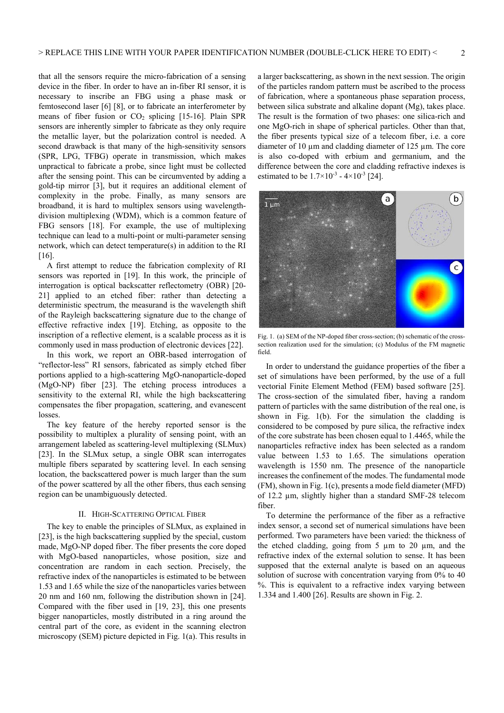that all the sensors require the micro-fabrication of a sensing device in the fiber. In order to have an in-fiber RI sensor, it is necessary to inscribe an FBG using a phase mask or femtosecond laser [6] [8], or to fabricate an interferometer by means of fiber fusion or  $CO<sub>2</sub>$  splicing [15-16]. Plain SPR sensors are inherently simpler to fabricate as they only require the metallic layer, but the polarization control is needed. A second drawback is that many of the high-sensitivity sensors (SPR, LPG, TFBG) operate in transmission, which makes unpractical to fabricate a probe, since light must be collected after the sensing point. This can be circumvented by adding a gold-tip mirror [3], but it requires an additional element of complexity in the probe. Finally, as many sensors are broadband, it is hard to multiplex sensors using wavelengthdivision multiplexing (WDM), which is a common feature of FBG sensors [18]. For example, the use of multiplexing technique can lead to a multi-point or multi-parameter sensing network, which can detect temperature(s) in addition to the RI [16].

 A first attempt to reduce the fabrication complexity of RI sensors was reported in [19]. In this work, the principle of interrogation is optical backscatter reflectometry (OBR) [20- 21] applied to an etched fiber: rather than detecting a deterministic spectrum, the measurand is the wavelength shift of the Rayleigh backscattering signature due to the change of effective refractive index [19]. Etching, as opposite to the inscription of a reflective element, is a scalable process as it is commonly used in mass production of electronic devices [22].

 In this work, we report an OBR-based interrogation of "reflector-less" RI sensors, fabricated as simply etched fiber portions applied to a high-scattering MgO-nanoparticle-doped (MgO-NP) fiber [23]. The etching process introduces a sensitivity to the external RI, while the high backscattering compensates the fiber propagation, scattering, and evanescent losses.

 The key feature of the hereby reported sensor is the possibility to multiplex a plurality of sensing point, with an arrangement labeled as scattering-level multiplexing (SLMux) [23]. In the SLMux setup, a single OBR scan interrogates multiple fibers separated by scattering level. In each sensing location, the backscattered power is much larger than the sum of the power scattered by all the other fibers, thus each sensing region can be unambiguously detected.

## II. HIGH-SCATTERING OPTICAL FIBER

The key to enable the principles of SLMux, as explained in [23], is the high backscattering supplied by the special, custom made, MgO-NP doped fiber. The fiber presents the core doped with MgO-based nanoparticles, whose position, size and concentration are random in each section. Precisely, the refractive index of the nanoparticles is estimated to be between 1.53 and 1.65 while the size of the nanoparticles varies between 20 nm and 160 nm, following the distribution shown in [24]. Compared with the fiber used in [19, 23], this one presents bigger nanoparticles, mostly distributed in a ring around the central part of the core, as evident in the scanning electron microscopy (SEM) picture depicted in Fig. 1(a). This results in

a larger backscattering, as shown in the next session. The origin of the particles random pattern must be ascribed to the process of fabrication, where a spontaneous phase separation process, between silica substrate and alkaline dopant (Mg), takes place. The result is the formation of two phases: one silica-rich and one MgO-rich in shape of spherical particles. Other than that, the fiber presents typical size of a telecom fiber, i.e. a core diameter of 10  $\mu$ m and cladding diameter of 125  $\mu$ m. The core is also co-doped with erbium and germanium, and the difference between the core and cladding refractive indexes is estimated to be  $1.7 \times 10^{-3}$  -  $4 \times 10^{-3}$  [24].



Fig. 1. (a) SEM of the NP-doped fiber cross-section; (b) schematic of the crosssection realization used for the simulation; (c) Modulus of the FM magnetic field.

In order to understand the guidance properties of the fiber a set of simulations have been performed, by the use of a full vectorial Finite Element Method (FEM) based software [25]. The cross-section of the simulated fiber, having a random pattern of particles with the same distribution of the real one, is shown in Fig. 1(b). For the simulation the cladding is considered to be composed by pure silica, the refractive index of the core substrate has been chosen equal to 1.4465, while the nanoparticles refractive index has been selected as a random value between 1.53 to 1.65. The simulations operation wavelength is 1550 nm. The presence of the nanoparticle increases the confinement of the modes. The fundamental mode (FM), shown in Fig. 1(c), presents a mode field diameter (MFD) of 12.2 µm, slightly higher than a standard SMF-28 telecom fiber.

To determine the performance of the fiber as a refractive index sensor, a second set of numerical simulations have been performed. Two parameters have been varied: the thickness of the etched cladding, going from  $5 \mu m$  to  $20 \mu m$ , and the refractive index of the external solution to sense. It has been supposed that the external analyte is based on an aqueous solution of sucrose with concentration varying from 0% to 40 %. This is equivalent to a refractive index varying between 1.334 and 1.400 [26]. Results are shown in Fig. 2.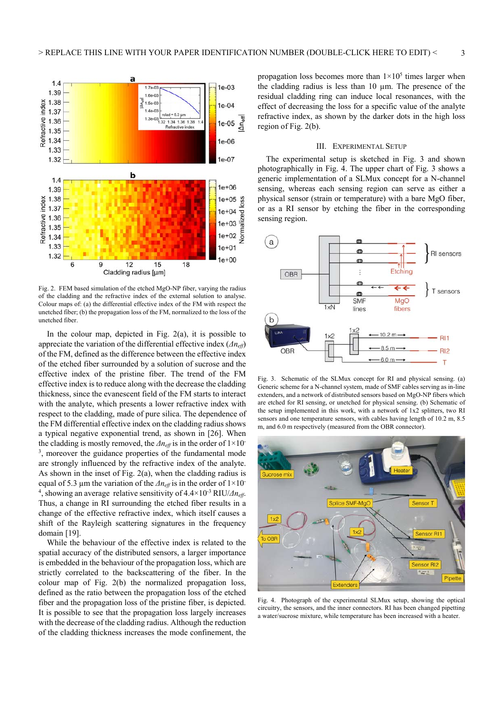

Fig. 2. FEM based simulation of the etched MgO-NP fiber, varying the radius of the cladding and the refractive index of the external solution to analyse. Colour maps of: (a) the differential effective index of the FM with respect the unetched fiber; (b) the propagation loss of the FM, normalized to the loss of the unetched fiber.

In the colour map, depicted in Fig.  $2(a)$ , it is possible to appreciate the variation of the differential effective index (*Δneff*) of the FM, defined as the difference between the effective index of the etched fiber surrounded by a solution of sucrose and the effective index of the pristine fiber. The trend of the FM effective index is to reduce along with the decrease the cladding thickness, since the evanescent field of the FM starts to interact with the analyte, which presents a lower refractive index with respect to the cladding, made of pure silica. The dependence of the FM differential effective index on the cladding radius shows a typical negative exponential trend, as shown in [26]. When the cladding is mostly removed, the *Δn<sub>eff</sub>* is in the order of 1×10<sup>-</sup> <sup>3</sup>, moreover the guidance properties of the fundamental mode are strongly influenced by the refractive index of the analyte. As shown in the inset of Fig. 2(a), when the cladding radius is equal of 5.3 µm the variation of the  $\Delta n_{\text{eff}}$  is in the order of 1×10<sup>-</sup> <sup>4</sup>, showing an average relative sensitivity of  $4.4 \times 10^{-3}$  RIU/*Δn<sub>eff</sub>*. Thus, a change in RI surrounding the etched fiber results in a change of the effective refractive index, which itself causes a shift of the Rayleigh scattering signatures in the frequency domain [19].

While the behaviour of the effective index is related to the spatial accuracy of the distributed sensors, a larger importance is embedded in the behaviour of the propagation loss, which are strictly correlated to the backscattering of the fiber. In the colour map of Fig. 2(b) the normalized propagation loss, defined as the ratio between the propagation loss of the etched fiber and the propagation loss of the pristine fiber, is depicted. It is possible to see that the propagation loss largely increases with the decrease of the cladding radius. Although the reduction of the cladding thickness increases the mode confinement, the

propagation loss becomes more than  $1 \times 10^5$  times larger when the cladding radius is less than 10 µm. The presence of the residual cladding ring can induce local resonances, with the effect of decreasing the loss for a specific value of the analyte refractive index, as shown by the darker dots in the high loss region of Fig. 2(b).

#### III. EXPERIMENTAL SETUP

The experimental setup is sketched in Fig. 3 and shown photographically in Fig. 4. The upper chart of Fig. 3 shows a generic implementation of a SLMux concept for a N-channel sensing, whereas each sensing region can serve as either a physical sensor (strain or temperature) with a bare MgO fiber, or as a RI sensor by etching the fiber in the corresponding sensing region.



Fig. 3. Schematic of the SLMux concept for RI and physical sensing. (a) Generic scheme for a N-channel system, made of SMF cables serving as in-line extenders, and a network of distributed sensors based on MgO-NP fibers which are etched for RI sensing, or unetched for physical sensing. (b) Schematic of the setup implemented in this work, with a network of 1x2 splitters, two RI sensors and one temperature sensors, with cables having length of 10.2 m, 8.5 m, and 6.0 m respectively (measured from the OBR connector).



Fig. 4. Photograph of the experimental SLMux setup, showing the optical circuitry, the sensors, and the inner connectors. RI has been changed pipetting a water/sucrose mixture, while temperature has been increased with a heater.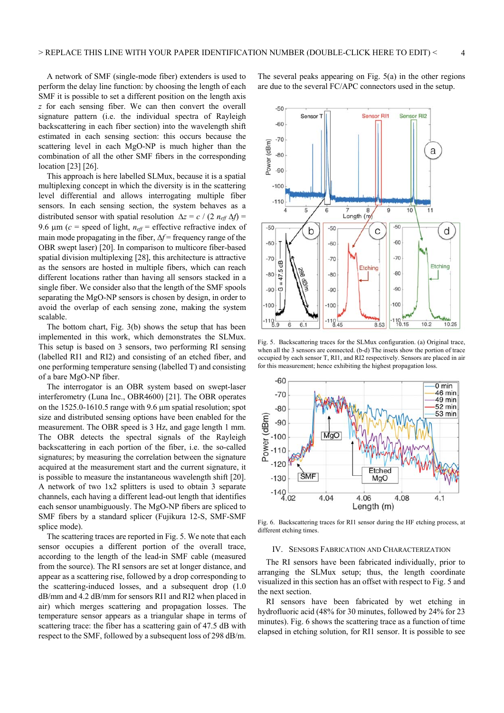A network of SMF (single-mode fiber) extenders is used to perform the delay line function: by choosing the length of each SMF it is possible to set a different position on the length axis *z* for each sensing fiber. We can then convert the overall signature pattern (i.e. the individual spectra of Rayleigh backscattering in each fiber section) into the wavelength shift estimated in each sensing section: this occurs because the scattering level in each MgO-NP is much higher than the combination of all the other SMF fibers in the corresponding location [23] [26].

This approach is here labelled SLMux, because it is a spatial multiplexing concept in which the diversity is in the scattering level differential and allows interrogating multiple fiber sensors. In each sensing section, the system behaves as a distributed sensor with spatial resolution  $\Delta z = c / (2 n_{\text{eff}} \Delta f)$  = 9.6  $\mu$ m (*c* = speed of light, *n<sub>eff</sub>* = effective refractive index of main mode propagating in the fiber,  $\Delta f$  = frequency range of the OBR swept laser) [20]. In comparison to multicore fiber-based spatial division multiplexing [28], this architecture is attractive as the sensors are hosted in multiple fibers, which can reach different locations rather than having all sensors stacked in a single fiber. We consider also that the length of the SMF spools separating the MgO-NP sensors is chosen by design, in order to avoid the overlap of each sensing zone, making the system scalable.

The bottom chart, Fig. 3(b) shows the setup that has been implemented in this work, which demonstrates the SLMux. This setup is based on 3 sensors, two performing RI sensing (labelled RI1 and RI2) and consisting of an etched fiber, and one performing temperature sensing (labelled T) and consisting of a bare MgO-NP fiber.

The interrogator is an OBR system based on swept-laser interferometry (Luna Inc., OBR4600) [21]. The OBR operates on the  $1525.0-1610.5$  range with  $9.6 \mu m$  spatial resolution; spot size and distributed sensing options have been enabled for the measurement. The OBR speed is 3 Hz, and gage length 1 mm. The OBR detects the spectral signals of the Rayleigh backscattering in each portion of the fiber, i.e. the so-called signatures; by measuring the correlation between the signature acquired at the measurement start and the current signature, it is possible to measure the instantaneous wavelength shift [20]. A network of two 1x2 splitters is used to obtain 3 separate channels, each having a different lead-out length that identifies each sensor unambiguously. The MgO-NP fibers are spliced to SMF fibers by a standard splicer (Fujikura 12-S, SMF-SMF splice mode).

The scattering traces are reported in Fig. 5. We note that each sensor occupies a different portion of the overall trace, according to the length of the lead-in SMF cable (measured from the source). The RI sensors are set at longer distance, and appear as a scattering rise, followed by a drop corresponding to the scattering-induced losses, and a subsequent drop (1.0 dB/mm and 4.2 dB/mm for sensors RI1 and RI2 when placed in air) which merges scattering and propagation losses. The temperature sensor appears as a triangular shape in terms of scattering trace: the fiber has a scattering gain of 47.5 dB with respect to the SMF, followed by a subsequent loss of 298 dB/m.

The several peaks appearing on Fig.  $5(a)$  in the other regions are due to the several FC/APC connectors used in the setup.



Fig. 5. Backscattering traces for the SLMux configuration. (a) Original trace, when all the 3 sensors are connected. (b-d) The insets show the portion of trace occupied by each sensor T, RI1, and RI2 respectively. Sensors are placed in air for this measurement; hence exhibiting the highest propagation loss.



Fig. 6. Backscattering traces for RI1 sensor during the HF etching process, at different etching times.

#### IV. SENSORS FABRICATION AND CHARACTERIZATION

The RI sensors have been fabricated individually, prior to arranging the SLMux setup; thus, the length coordinate visualized in this section has an offset with respect to Fig. 5 and the next section.

RI sensors have been fabricated by wet etching in hydrofluoric acid (48% for 30 minutes, followed by 24% for 23 minutes). Fig. 6 shows the scattering trace as a function of time elapsed in etching solution, for RI1 sensor. It is possible to see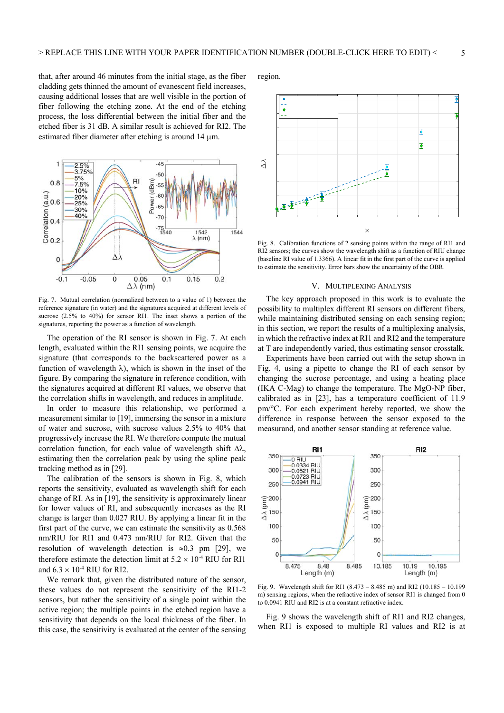that, after around 46 minutes from the initial stage, as the fiber cladding gets thinned the amount of evanescent field increases, causing additional losses that are well visible in the portion of fiber following the etching zone. At the end of the etching process, the loss differential between the initial fiber and the etched fiber is 31 dB. A similar result is achieved for RI2. The estimated fiber diameter after etching is around  $14 \mu m$ .



Fig. 7. Mutual correlation (normalized between to a value of 1) between the reference signature (in water) and the signatures acquired at different levels of sucrose (2.5% to 40%) for sensor RI1. The inset shows a portion of the signatures, reporting the power as a function of wavelength.

The operation of the RI sensor is shown in Fig. 7. At each length, evaluated within the RI1 sensing points, we acquire the signature (that corresponds to the backscattered power as a function of wavelength  $\lambda$ ), which is shown in the inset of the figure. By comparing the signature in reference condition, with the signatures acquired at different RI values, we observe that the correlation shifts in wavelength, and reduces in amplitude.

In order to measure this relationship, we performed a measurement similar to [19], immersing the sensor in a mixture of water and sucrose, with sucrose values 2.5% to 40% that progressively increase the RI. We therefore compute the mutual correlation function, for each value of wavelength shift  $\Delta\lambda$ , estimating then the correlation peak by using the spline peak tracking method as in [29].

The calibration of the sensors is shown in Fig. 8, which reports the sensitivity, evaluated as wavelength shift for each change of RI. As in [19], the sensitivity is approximately linear for lower values of RI, and subsequently increases as the RI change is larger than 0.027 RIU. By applying a linear fit in the first part of the curve, we can estimate the sensitivity as 0.568 nm/RIU for RI1 and 0.473 nm/RIU for RI2. Given that the resolution of wavelength detection is  $\approx 0.3$  pm [29], we therefore estimate the detection limit at  $5.2 \times 10^{-4}$  RIU for RI1 and  $6.3 \times 10^{-4}$  RIU for RI2.

We remark that, given the distributed nature of the sensor, these values do not represent the sensitivity of the RI1-2 sensors, but rather the sensitivity of a single point within the active region; the multiple points in the etched region have a sensitivity that depends on the local thickness of the fiber. In this case, the sensitivity is evaluated at the center of the sensing region.



Fig. 8. Calibration functions of 2 sensing points within the range of RI1 and RI2 sensors; the curves show the wavelength shift as a function of RIU change (baseline RI value of 1.3366). A linear fit in the first part of the curve is applied to estimate the sensitivity. Error bars show the uncertainty of the OBR.

## V. MULTIPLEXING ANALYSIS

The key approach proposed in this work is to evaluate the possibility to multiplex different RI sensors on different fibers, while maintaining distributed sensing on each sensing region; in this section, we report the results of a multiplexing analysis, in which the refractive index at RI1 and RI2 and the temperature at T are independently varied, thus estimating sensor crosstalk.

Experiments have been carried out with the setup shown in Fig. 4, using a pipette to change the RI of each sensor by changing the sucrose percentage, and using a heating place (IKA C-Mag) to change the temperature. The MgO-NP fiber, calibrated as in [23], has a temperature coefficient of 11.9 pm/C. For each experiment hereby reported, we show the difference in response between the sensor exposed to the measurand, and another sensor standing at reference value.



Fig. 9. Wavelength shift for RI1 (8.473 – 8.485 m) and RI2 (10.185 – 10.199 m) sensing regions, when the refractive index of sensor RI1 is changed from 0 to 0.0941 RIU and RI2 is at a constant refractive index.

Fig. 9 shows the wavelength shift of RI1 and RI2 changes, when RI1 is exposed to multiple RI values and RI2 is at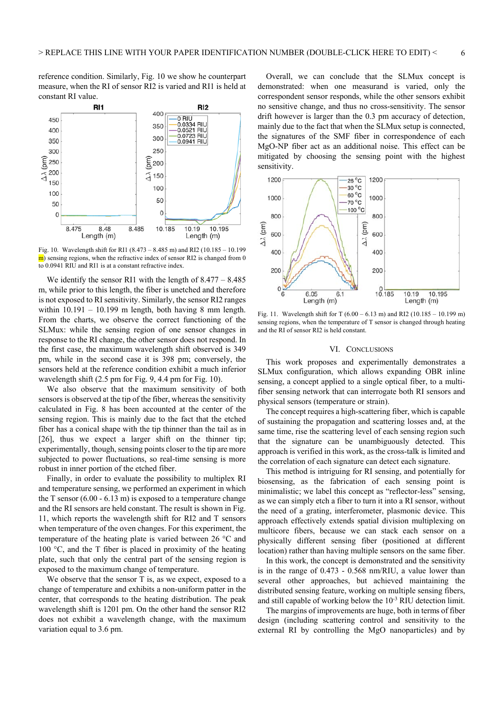reference condition. Similarly, Fig. 10 we show he counterpart measure, when the RI of sensor RI2 is varied and RI1 is held at constant RI value.



Fig. 10. Wavelength shift for RI1 (8.473 – 8.485 m) and RI2 (10.185 – 10.199 m) sensing regions, when the refractive index of sensor RI2 is changed from 0 to 0.0941 RIU and RI1 is at a constant refractive index.

We identify the sensor RI1 with the length of  $8.477 - 8.485$ m, while prior to this length, the fiber is unetched and therefore is not exposed to RI sensitivity. Similarly, the sensor RI2 ranges within  $10.191 - 10.199$  m length, both having 8 mm length. From the charts, we observe the correct functioning of the SLMux: while the sensing region of one sensor changes in response to the RI change, the other sensor does not respond. In the first case, the maximum wavelength shift observed is 349 pm, while in the second case it is 398 pm; conversely, the sensors held at the reference condition exhibit a much inferior wavelength shift (2.5 pm for Fig. 9, 4.4 pm for Fig. 10).

We also observe that the maximum sensitivity of both sensors is observed at the tip of the fiber, whereas the sensitivity calculated in Fig. 8 has been accounted at the center of the sensing region. This is mainly due to the fact that the etched fiber has a conical shape with the tip thinner than the tail as in [26], thus we expect a larger shift on the thinner tip; experimentally, though, sensing points closer to the tip are more subjected to power fluctuations, so real-time sensing is more robust in inner portion of the etched fiber.

Finally, in order to evaluate the possibility to multiplex RI and temperature sensing, we performed an experiment in which the T sensor  $(6.00 - 6.13 \text{ m})$  is exposed to a temperature change and the RI sensors are held constant. The result is shown in Fig. 11, which reports the wavelength shift for RI2 and T sensors when temperature of the oven changes. For this experiment, the temperature of the heating plate is varied between  $26 \degree C$  and 100  $\degree$ C, and the T fiber is placed in proximity of the heating plate, such that only the central part of the sensing region is exposed to the maximum change of temperature.

We observe that the sensor T is, as we expect, exposed to a change of temperature and exhibits a non-uniform patter in the center, that corresponds to the heating distribution. The peak wavelength shift is 1201 pm. On the other hand the sensor RI2 does not exhibit a wavelength change, with the maximum variation equal to 3.6 pm.

Overall, we can conclude that the SLMux concept is demonstrated: when one measurand is varied, only the correspondent sensor responds, while the other sensors exhibit no sensitive change, and thus no cross-sensitivity. The sensor drift however is larger than the 0.3 pm accuracy of detection, mainly due to the fact that when the SLMux setup is connected, the signatures of the SMF fiber in correspondence of each MgO-NP fiber act as an additional noise. This effect can be mitigated by choosing the sensing point with the highest sensitivity.



Fig. 11. Wavelength shift for T (6.00 – 6.13 m) and RI2 (10.185 – 10.199 m) sensing regions, when the temperature of T sensor is changed through heating and the RI of sensor RI2 is held constant.

#### VI. CONCLUSIONS

This work proposes and experimentally demonstrates a SLMux configuration, which allows expanding OBR inline sensing, a concept applied to a single optical fiber, to a multifiber sensing network that can interrogate both RI sensors and physical sensors (temperature or strain).

The concept requires a high-scattering fiber, which is capable of sustaining the propagation and scattering losses and, at the same time, rise the scattering level of each sensing region such that the signature can be unambiguously detected. This approach is verified in this work, as the cross-talk is limited and the correlation of each signature can detect each signature.

This method is intriguing for RI sensing, and potentially for biosensing, as the fabrication of each sensing point is minimalistic; we label this concept as "reflector-less" sensing, as we can simply etch a fiber to turn it into a RI sensor, without the need of a grating, interferometer, plasmonic device. This approach effectively extends spatial division multiplexing on multicore fibers, because we can stack each sensor on a physically different sensing fiber (positioned at different location) rather than having multiple sensors on the same fiber.

In this work, the concept is demonstrated and the sensitivity is in the range of 0.473 - 0.568 nm/RIU, a value lower than several other approaches, but achieved maintaining the distributed sensing feature, working on multiple sensing fibers, and still capable of working below the  $10^{-3}$  RIU detection limit.

The margins of improvements are huge, both in terms of fiber design (including scattering control and sensitivity to the external RI by controlling the MgO nanoparticles) and by